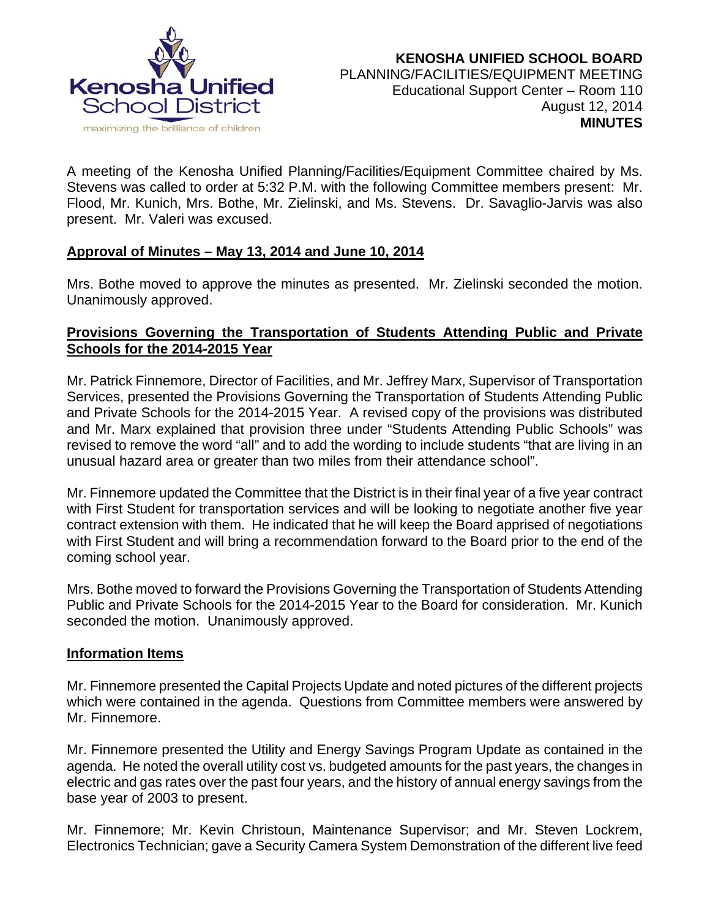

A meeting of the Kenosha Unified Planning/Facilities/Equipment Committee chaired by Ms. Stevens was called to order at 5:32 P.M. with the following Committee members present: Mr. Flood, Mr. Kunich, Mrs. Bothe, Mr. Zielinski, and Ms. Stevens. Dr. Savaglio-Jarvis was also present. Mr. Valeri was excused.

# **Approval of Minutes – May 13, 2014 and June 10, 2014**

Mrs. Bothe moved to approve the minutes as presented. Mr. Zielinski seconded the motion. Unanimously approved.

# **Provisions Governing the Transportation of Students Attending Public and Private Schools for the 2014-2015 Year**

Mr. Patrick Finnemore, Director of Facilities, and Mr. Jeffrey Marx, Supervisor of Transportation Services, presented the Provisions Governing the Transportation of Students Attending Public and Private Schools for the 2014-2015 Year. A revised copy of the provisions was distributed and Mr. Marx explained that provision three under "Students Attending Public Schools" was revised to remove the word "all" and to add the wording to include students "that are living in an unusual hazard area or greater than two miles from their attendance school".

Mr. Finnemore updated the Committee that the District is in their final year of a five year contract with First Student for transportation services and will be looking to negotiate another five year contract extension with them. He indicated that he will keep the Board apprised of negotiations with First Student and will bring a recommendation forward to the Board prior to the end of the coming school year.

Mrs. Bothe moved to forward the Provisions Governing the Transportation of Students Attending Public and Private Schools for the 2014-2015 Year to the Board for consideration. Mr. Kunich seconded the motion. Unanimously approved.

#### **Information Items**

Mr. Finnemore presented the Capital Projects Update and noted pictures of the different projects which were contained in the agenda. Questions from Committee members were answered by Mr. Finnemore.

Mr. Finnemore presented the Utility and Energy Savings Program Update as contained in the agenda. He noted the overall utility cost vs. budgeted amounts for the past years, the changes in electric and gas rates over the past four years, and the history of annual energy savings from the base year of 2003 to present.

Mr. Finnemore; Mr. Kevin Christoun, Maintenance Supervisor; and Mr. Steven Lockrem, Electronics Technician; gave a Security Camera System Demonstration of the different live feed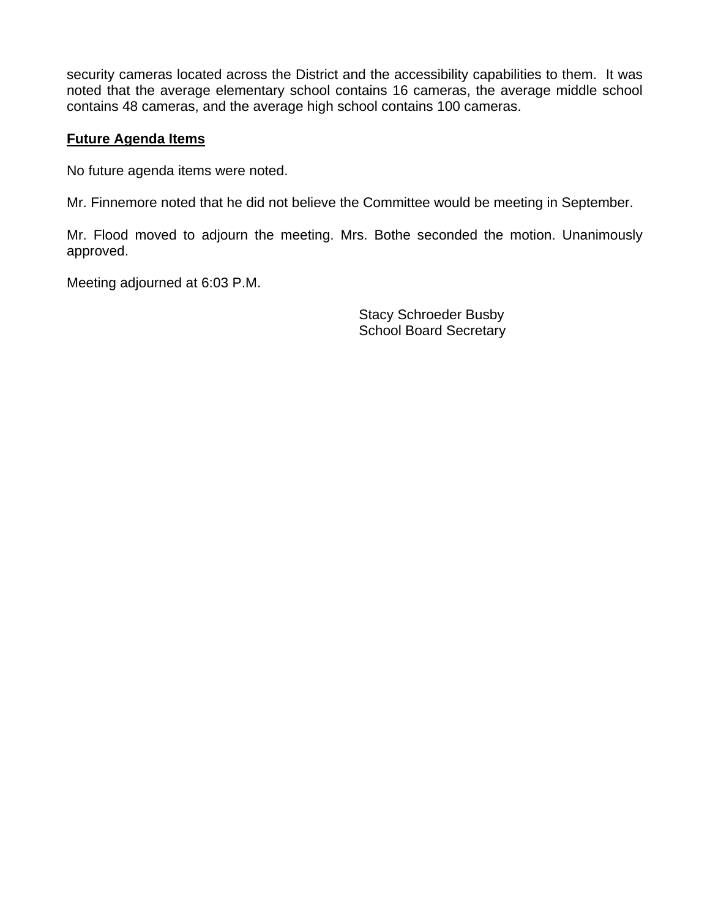security cameras located across the District and the accessibility capabilities to them. It was noted that the average elementary school contains 16 cameras, the average middle school contains 48 cameras, and the average high school contains 100 cameras.

# **Future Agenda Items**

No future agenda items were noted.

Mr. Finnemore noted that he did not believe the Committee would be meeting in September.

Mr. Flood moved to adjourn the meeting. Mrs. Bothe seconded the motion. Unanimously approved.

Meeting adjourned at 6:03 P.M.

 Stacy Schroeder Busby School Board Secretary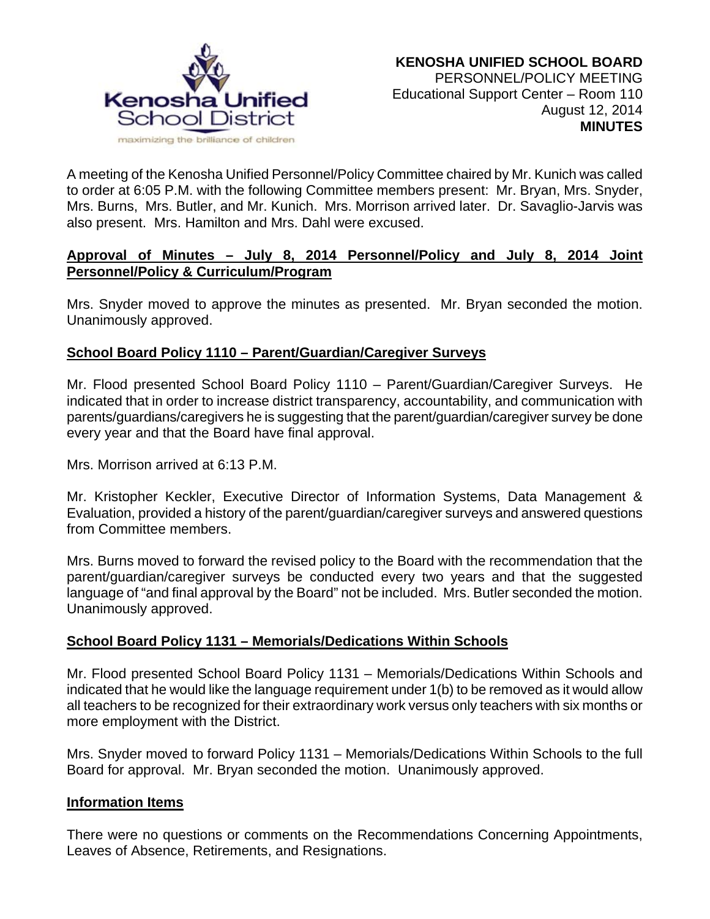

A meeting of the Kenosha Unified Personnel/Policy Committee chaired by Mr. Kunich was called to order at 6:05 P.M. with the following Committee members present: Mr. Bryan, Mrs. Snyder, Mrs. Burns, Mrs. Butler, and Mr. Kunich. Mrs. Morrison arrived later. Dr. Savaglio-Jarvis was also present. Mrs. Hamilton and Mrs. Dahl were excused.

#### **Approval of Minutes – July 8, 2014 Personnel/Policy and July 8, 2014 Joint Personnel/Policy & Curriculum/Program**

Mrs. Snyder moved to approve the minutes as presented. Mr. Bryan seconded the motion. Unanimously approved.

# **School Board Policy 1110 – Parent/Guardian/Caregiver Surveys**

Mr. Flood presented School Board Policy 1110 – Parent/Guardian/Caregiver Surveys. He indicated that in order to increase district transparency, accountability, and communication with parents/guardians/caregivers he is suggesting that the parent/guardian/caregiver survey be done every year and that the Board have final approval.

Mrs. Morrison arrived at 6:13 P.M.

Mr. Kristopher Keckler, Executive Director of Information Systems, Data Management & Evaluation, provided a history of the parent/guardian/caregiver surveys and answered questions from Committee members.

Mrs. Burns moved to forward the revised policy to the Board with the recommendation that the parent/guardian/caregiver surveys be conducted every two years and that the suggested language of "and final approval by the Board" not be included. Mrs. Butler seconded the motion. Unanimously approved.

#### **School Board Policy 1131 – Memorials/Dedications Within Schools**

Mr. Flood presented School Board Policy 1131 – Memorials/Dedications Within Schools and indicated that he would like the language requirement under 1(b) to be removed as it would allow all teachers to be recognized for their extraordinary work versus only teachers with six months or more employment with the District.

Mrs. Snyder moved to forward Policy 1131 – Memorials/Dedications Within Schools to the full Board for approval. Mr. Bryan seconded the motion. Unanimously approved.

#### **Information Items**

There were no questions or comments on the Recommendations Concerning Appointments, Leaves of Absence, Retirements, and Resignations.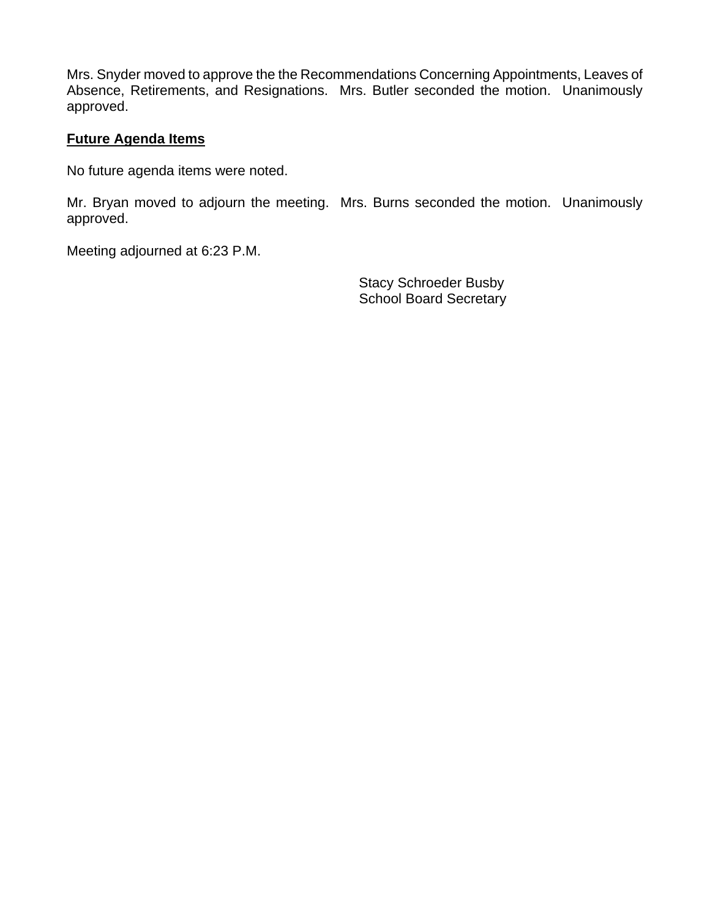Mrs. Snyder moved to approve the the Recommendations Concerning Appointments, Leaves of Absence, Retirements, and Resignations. Mrs. Butler seconded the motion. Unanimously approved.

#### **Future Agenda Items**

No future agenda items were noted.

Mr. Bryan moved to adjourn the meeting. Mrs. Burns seconded the motion. Unanimously approved.

Meeting adjourned at 6:23 P.M.

Stacy Schroeder Busby School Board Secretary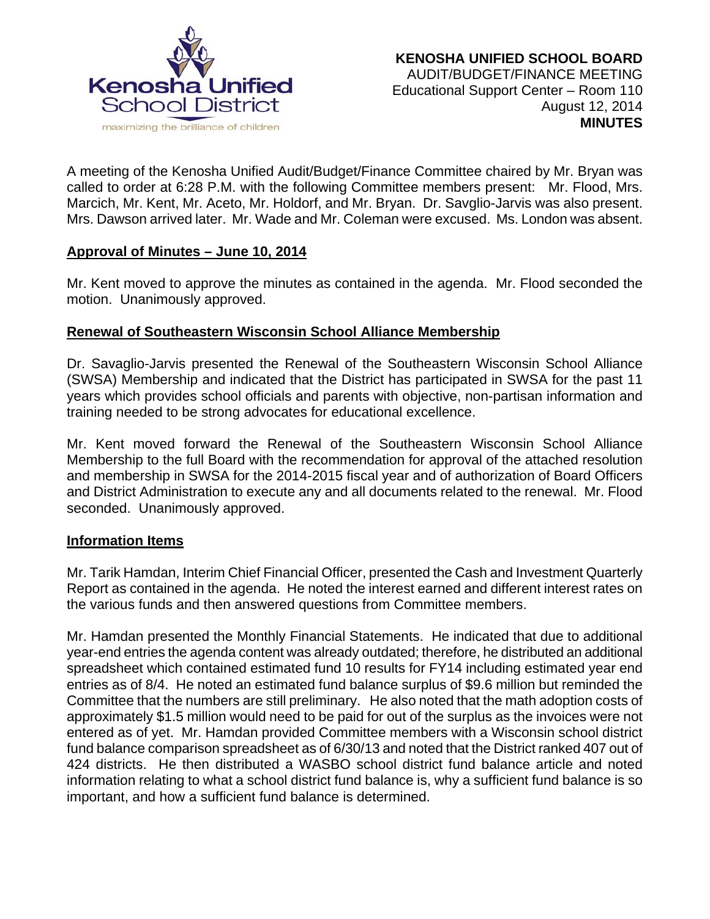

A meeting of the Kenosha Unified Audit/Budget/Finance Committee chaired by Mr. Bryan was called to order at 6:28 P.M. with the following Committee members present: Mr. Flood, Mrs. Marcich, Mr. Kent, Mr. Aceto, Mr. Holdorf, and Mr. Bryan. Dr. Savglio-Jarvis was also present. Mrs. Dawson arrived later. Mr. Wade and Mr. Coleman were excused. Ms. London was absent.

#### **Approval of Minutes – June 10, 2014**

Mr. Kent moved to approve the minutes as contained in the agenda. Mr. Flood seconded the motion. Unanimously approved.

# **Renewal of Southeastern Wisconsin School Alliance Membership**

Dr. Savaglio-Jarvis presented the Renewal of the Southeastern Wisconsin School Alliance (SWSA) Membership and indicated that the District has participated in SWSA for the past 11 years which provides school officials and parents with objective, non-partisan information and training needed to be strong advocates for educational excellence.

Mr. Kent moved forward the Renewal of the Southeastern Wisconsin School Alliance Membership to the full Board with the recommendation for approval of the attached resolution and membership in SWSA for the 2014-2015 fiscal year and of authorization of Board Officers and District Administration to execute any and all documents related to the renewal. Mr. Flood seconded. Unanimously approved.

# **Information Items**

Mr. Tarik Hamdan, Interim Chief Financial Officer, presented the Cash and Investment Quarterly Report as contained in the agenda. He noted the interest earned and different interest rates on the various funds and then answered questions from Committee members.

Mr. Hamdan presented the Monthly Financial Statements. He indicated that due to additional year-end entries the agenda content was already outdated; therefore, he distributed an additional spreadsheet which contained estimated fund 10 results for FY14 including estimated year end entries as of 8/4. He noted an estimated fund balance surplus of \$9.6 million but reminded the Committee that the numbers are still preliminary. He also noted that the math adoption costs of approximately \$1.5 million would need to be paid for out of the surplus as the invoices were not entered as of yet. Mr. Hamdan provided Committee members with a Wisconsin school district fund balance comparison spreadsheet as of 6/30/13 and noted that the District ranked 407 out of 424 districts. He then distributed a WASBO school district fund balance article and noted information relating to what a school district fund balance is, why a sufficient fund balance is so important, and how a sufficient fund balance is determined.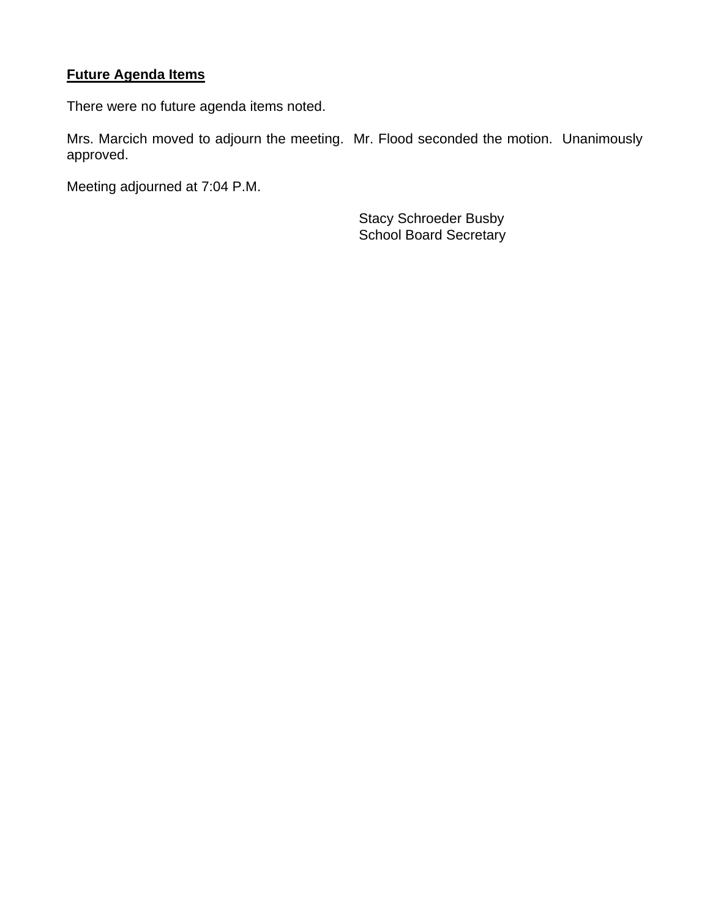# **Future Agenda Items**

There were no future agenda items noted.

Mrs. Marcich moved to adjourn the meeting. Mr. Flood seconded the motion. Unanimously approved.

Meeting adjourned at 7:04 P.M.

Stacy Schroeder Busby School Board Secretary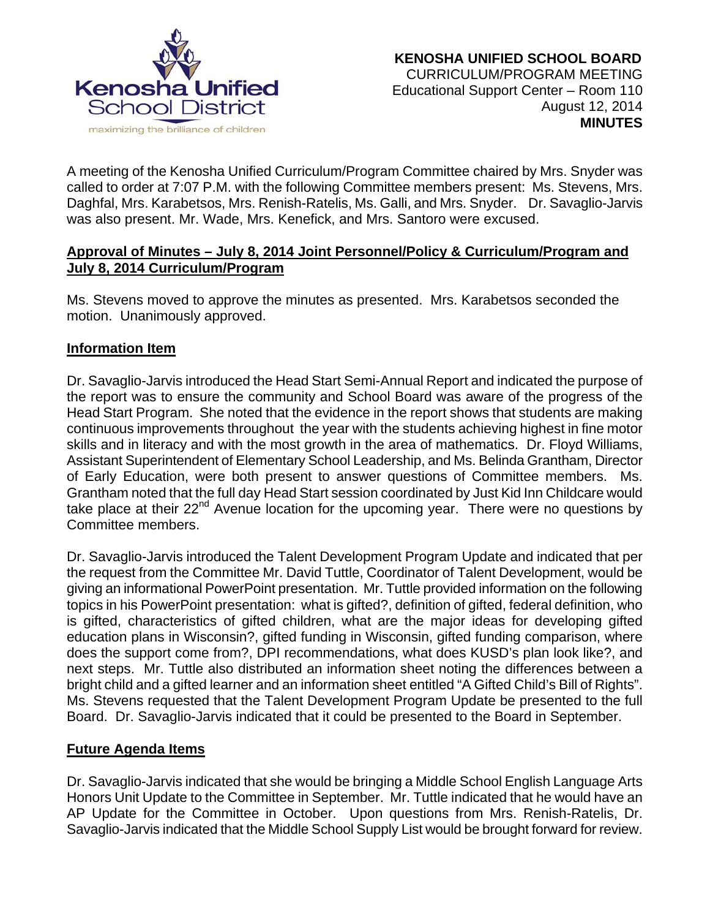

A meeting of the Kenosha Unified Curriculum/Program Committee chaired by Mrs. Snyder was called to order at 7:07 P.M. with the following Committee members present: Ms. Stevens, Mrs. Daghfal, Mrs. Karabetsos, Mrs. Renish-Ratelis, Ms. Galli, and Mrs. Snyder. Dr. Savaglio-Jarvis was also present. Mr. Wade, Mrs. Kenefick, and Mrs. Santoro were excused.

#### **Approval of Minutes – July 8, 2014 Joint Personnel/Policy & Curriculum/Program and July 8, 2014 Curriculum/Program**

Ms. Stevens moved to approve the minutes as presented. Mrs. Karabetsos seconded the motion. Unanimously approved.

# **Information Item**

Dr. Savaglio-Jarvis introduced the Head Start Semi-Annual Report and indicated the purpose of the report was to ensure the community and School Board was aware of the progress of the Head Start Program. She noted that the evidence in the report shows that students are making continuous improvements throughout the year with the students achieving highest in fine motor skills and in literacy and with the most growth in the area of mathematics. Dr. Floyd Williams, Assistant Superintendent of Elementary School Leadership, and Ms. Belinda Grantham, Director of Early Education, were both present to answer questions of Committee members. Ms. Grantham noted that the full day Head Start session coordinated by Just Kid Inn Childcare would take place at their  $22^{nd}$  Avenue location for the upcoming year. There were no questions by Committee members.

Dr. Savaglio-Jarvis introduced the Talent Development Program Update and indicated that per the request from the Committee Mr. David Tuttle, Coordinator of Talent Development, would be giving an informational PowerPoint presentation. Mr. Tuttle provided information on the following topics in his PowerPoint presentation: what is gifted?, definition of gifted, federal definition, who is gifted, characteristics of gifted children, what are the major ideas for developing gifted education plans in Wisconsin?, gifted funding in Wisconsin, gifted funding comparison, where does the support come from?, DPI recommendations, what does KUSD's plan look like?, and next steps. Mr. Tuttle also distributed an information sheet noting the differences between a bright child and a gifted learner and an information sheet entitled "A Gifted Child's Bill of Rights". Ms. Stevens requested that the Talent Development Program Update be presented to the full Board. Dr. Savaglio-Jarvis indicated that it could be presented to the Board in September.

# **Future Agenda Items**

Dr. Savaglio-Jarvis indicated that she would be bringing a Middle School English Language Arts Honors Unit Update to the Committee in September. Mr. Tuttle indicated that he would have an AP Update for the Committee in October. Upon questions from Mrs. Renish-Ratelis, Dr. Savaglio-Jarvis indicated that the Middle School Supply List would be brought forward for review.